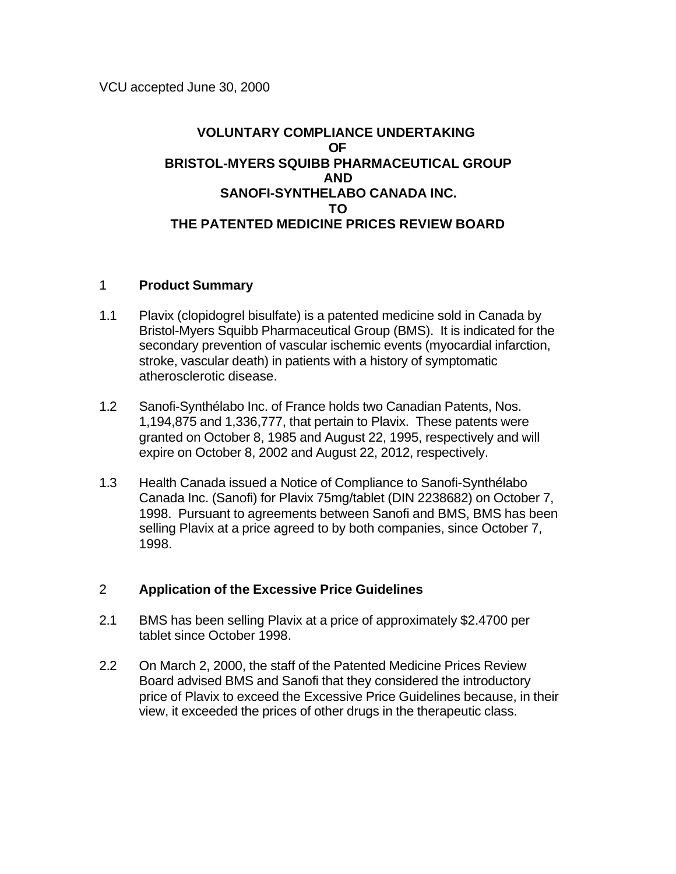## **VOLUNTARY COMPLIANCE UNDERTAKING OF BRISTOL-MYERS SQUIBB PHARMACEUTICAL GROUP AND SANOFI-SYNTHELABO CANADA INC. TO THE PATENTED MEDICINE PRICES REVIEW BOARD**

## 1 **Product Summary**

- 1.1 Plavix (clopidogrel bisulfate) is a patented medicine sold in Canada by Bristol-Myers Squibb Pharmaceutical Group (BMS). It is indicated for the secondary prevention of vascular ischemic events (myocardial infarction, stroke, vascular death) in patients with a history of symptomatic atherosclerotic disease.
- 1.2 Sanofi-Synthélabo Inc. of France holds two Canadian Patents, Nos. 1,194,875 and 1,336,777, that pertain to Plavix. These patents were granted on October 8, 1985 and August 22, 1995, respectively and will expire on October 8, 2002 and August 22, 2012, respectively.
- 1.3 Health Canada issued a Notice of Compliance to Sanofi-Synthélabo Canada Inc. (Sanofi) for Plavix 75mg/tablet (DIN 2238682) on October 7, 1998. Pursuant to agreements between Sanofi and BMS, BMS has been selling Plavix at a price agreed to by both companies, since October 7, 1998.

## 2 **Application of the Excessive Price Guidelines**

- 2.1 BMS has been selling Plavix at a price of approximately \$2.4700 per tablet since October 1998.
- 2.2 On March 2, 2000, the staff of the Patented Medicine Prices Review Board advised BMS and Sanofi that they considered the introductory price of Plavix to exceed the Excessive Price Guidelines because, in their view, it exceeded the prices of other drugs in the therapeutic class.